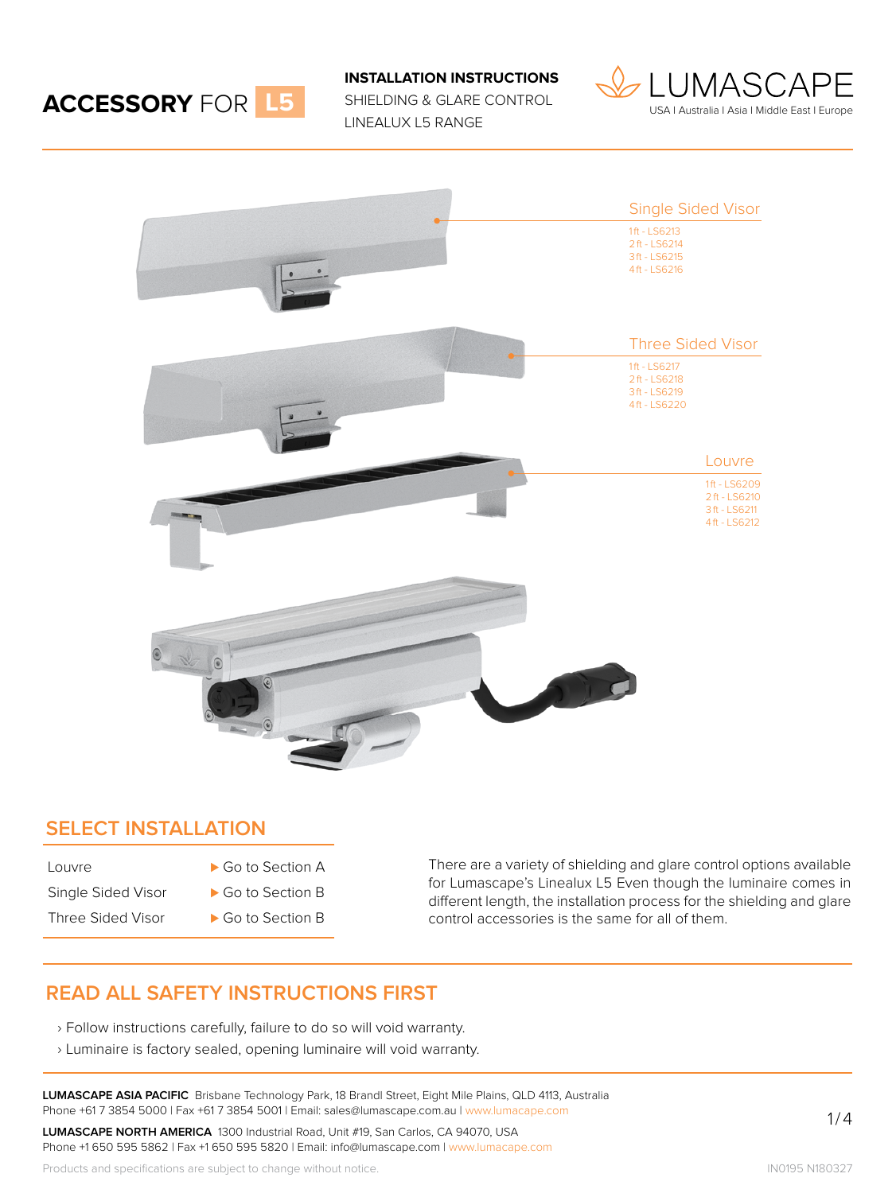

**INSTALLATION INSTRUCTIONS**

SHIELDING & GLARE CONTROL LINEALUX L5 RANGE





#### **SELECT INSTALLATION**

- Louvre Go to Section A
	-
- Single Sided Visor → Go to Section B
- Three Sided Visor → Go to Section B

There are a variety of shielding and glare control options available for Lumascape's Linealux L5 Even though the luminaire comes in different length, the installation process for the shielding and glare control accessories is the same for all of them.

### **READ ALL SAFETY INSTRUCTIONS FIRST**

- › Follow instructions carefully, failure to do so will void warranty.
- › Luminaire is factory sealed, opening luminaire will void warranty.

**LUMASCAPE ASIA PACIFIC** Brisbane Technology Park, 18 Brandl Street, Eight Mile Plains, QLD 4113, Australia Phone +61 7 3854 5000 | Fax +61 7 3854 5001 | Email: sales@lumascape.com.au | www.lumacape.com

**LUMASCAPE NORTH AMERICA** 1300 Industrial Road, Unit #19, San Carlos, CA 94070, USA Phone +1 650 595 5862 | Fax +1 650 595 5820 | Email: info@lumascape.com | www.lumacape.com

Products and specifications are subject to change without notice.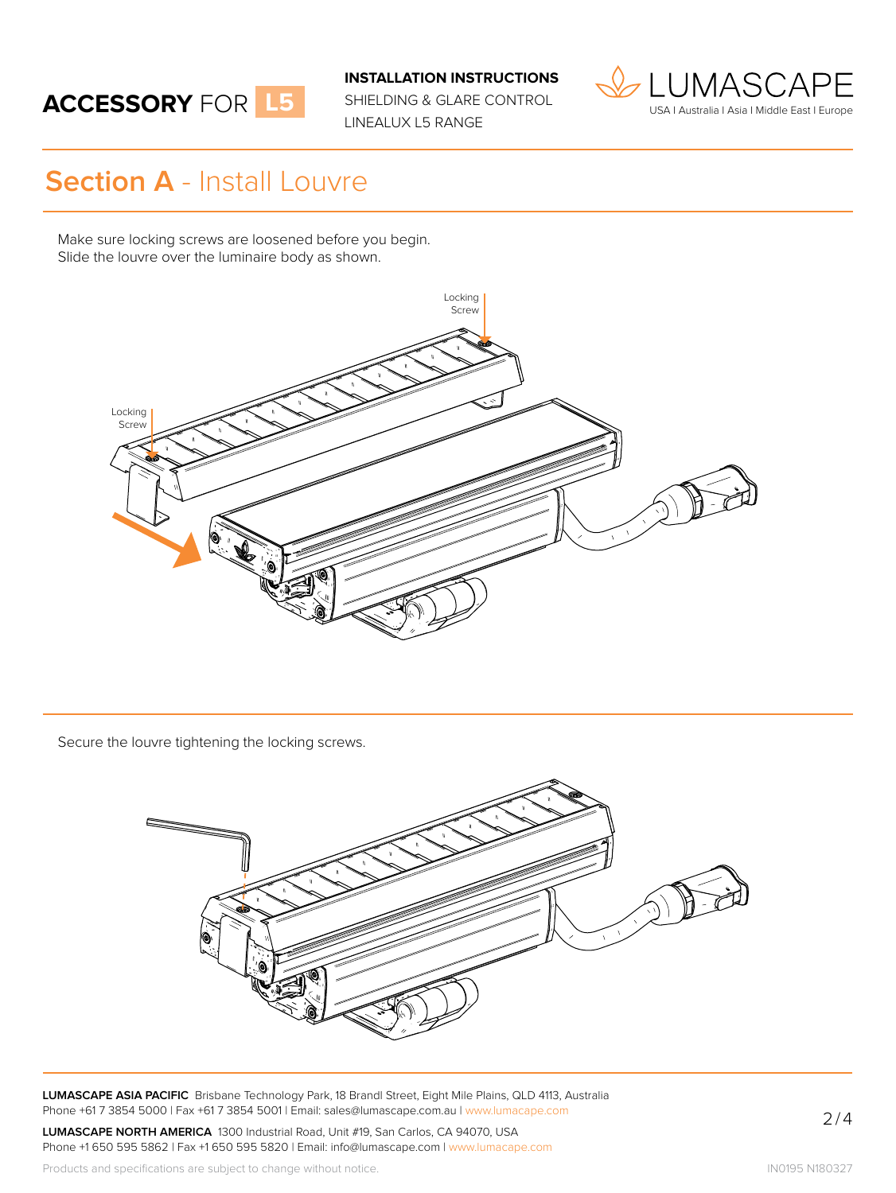# **ACCESSORY** FOR **L5**

**INSTALLATION INSTRUCTIONS**

SHIELDING & GLARE CONTROL LINEALUX L5 RANGE



## **Section A** - Install Louvre

Make sure locking screws are loosened before you begin. Slide the louvre over the luminaire body as shown.



Secure the louvre tightening the locking screws.



**LUMASCAPE ASIA PACIFIC** Brisbane Technology Park, 18 Brandl Street, Eight Mile Plains, QLD 4113, Australia Phone +61 7 3854 5000 | Fax +61 7 3854 5001 | Email: sales@lumascape.com.au | www.lumacape.com

**LUMASCAPE NORTH AMERICA** 1300 Industrial Road, Unit #19, San Carlos, CA 94070, USA Phone +1 650 595 5862 | Fax +1 650 595 5820 | Email: info@lumascape.com | www.lumacape.com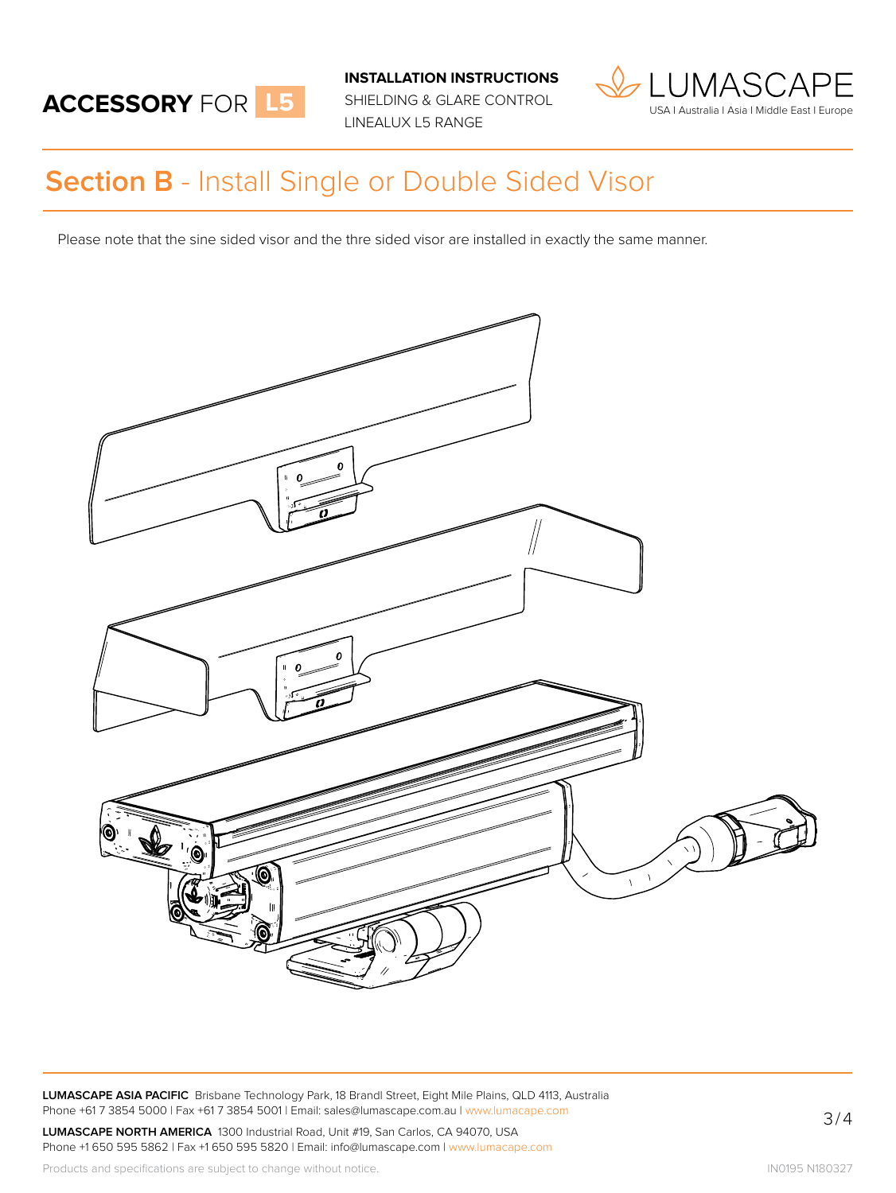

**INSTALLATION INSTRUCTIONS**

SHIELDING & GLARE CONTROL LINEALUX L5 RANGE



## **Section B** - Install Single or Double Sided Visor

Please note that the sine sided visor and the thre sided visor are installed in exactly the same manner.



**LUMASCAPE ASIA PACIFIC** Brisbane Technology Park, 18 Brandl Street, Eight Mile Plains, QLD 4113, Australia Phone +61 7 3854 5000 | Fax +61 7 3854 5001 | Email: sales@lumascape.com.au | www.lumacape.com

**LUMASCAPE NORTH AMERICA** 1300 Industrial Road, Unit #19, San Carlos, CA 94070, USA Phone +1 650 595 5862 | Fax +1 650 595 5820 | Email: info@lumascape.com | www.lumacape.com 3/4